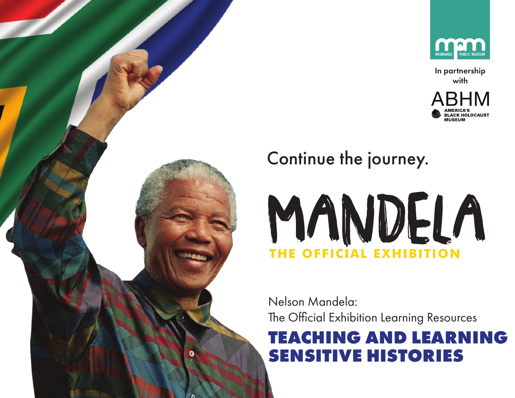

In partnership with







Nelson Mandela: The Official Exhibition Learning Resources

# **TEACHING AND LEARNING SENSITIVE HISTORIES**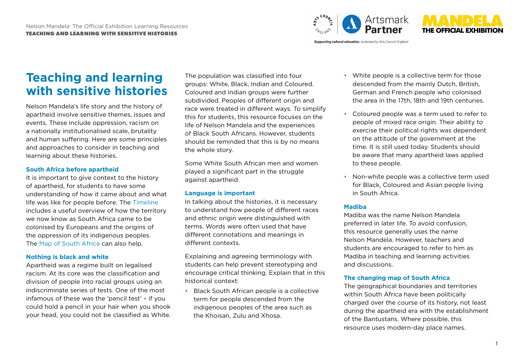



**Supporting cultural education**, endorsed by Arts Council England

## **Teaching and learning with sensitive histories**

Nelson Mandela's life story and the history of apartheid involve sensitive themes, issues and events. These include oppression, racism on a nationally institutionalised scale, brutality and human suffering. Here are some principles and approaches to consider in teaching and learning about these histories.

#### **South Africa before apartheid**

It is important to give context to the history of apartheid, for students to have some understanding of how it came about and what life was like for people before. The [Timeline](https://mandelaexhibition.com/wp-content/uploads/2019/02/Mandela_EDU_Time_line_FINAL.pdf) includes a useful overview of how the territory we now know as South Africa came to be colonised by Europeans and the origins of the oppression of its indigenous peoples. The [Map of South Africa](https://mandelaexhibition.com/wp-content/uploads/2019/02/Mandela_EDU_Map-of-South-Africa_FINAL.pdf) can also help.

### **Nothing is black and white**

Apartheid was a regime built on legalised racism. At its core was the classification and division of people into racial groups using an indiscriminate series of tests. One of the most infamous of these was the 'pencil test' – if you could hold a pencil in your hair when you shook your head, you could not be classified as White.

The population was classified into four groups: White, Black, Indian and Coloured. Coloured and Indian groups were further subdivided. Peoples of different origin and race were treated in different ways. To simplify this for students, this resource focuses on the life of Nelson Mandela and the experiences of Black South Africans. However, students should be reminded that this is by no means the whole story.

Some White South African men and women played a significant part in the struggle against apartheid.

### **Language is important**

In talking about the histories, it is necessary to understand how people of different races and ethnic origin were distinguished with terms. Words were often used that have different connotations and meanings in different contexts.

Explaining and agreeing terminology with students can help prevent stereotyping and encourage critical thinking. Explain that in this historical context:

• Black South African people is a collective term for people descended from the indigenous peoples of the area such as the Khoisan, Zulu and Xhosa.

- White people is a collective term for those descended from the mainly Dutch, British, German and French people who colonised the area in the 17th, 18th and 19th centuries.
- Coloured people was a term used to refer to people of mixed race origin. Their ability to exercise their political rights was dependent on the attitude of the government at the time. It is still used today. Students should be aware that many apartheid laws applied to these people.
- Non-white people was a collective term used for Black, Coloured and Asian people living in South Africa.

### **Madiba**

Madiba was the name Nelson Mandela preferred in later life. To avoid confusion, this resource generally uses the name Nelson Mandela. However, teachers and students are encouraged to refer to him as Madiba in teaching and learning activities and discussions.

### **The changing map of South Africa**

The geographical boundaries and territories within South Africa have been politically charged over the course of its history, not least during the apartheid era with the establishment of the Bantustans. Where possible, this resource uses modern-day place names.